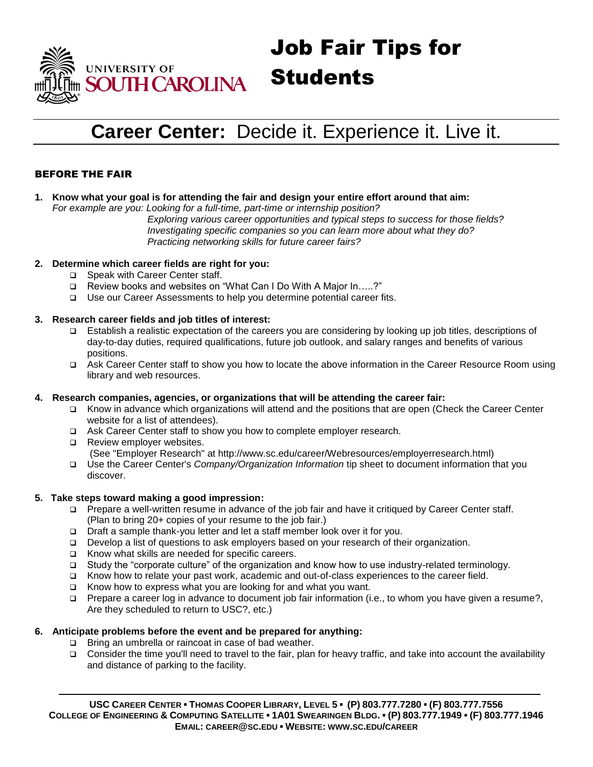

# Job Fair Tips for

# **Career Center:** Decide it. Experience it. Live it.

# BEFORE THE FAIR

**1. Know what your goal is for attending the fair and design your entire effort around that aim:** *For example are you: Looking for a full-time, part-time or internship position?*

 *Exploring various career opportunities and typical steps to success for those fields?* 

 *Investigating specific companies so you can learn more about what they do? Practicing networking skills for future career fairs?*

# **2. Determine which career fields are right for you:**

- □ Speak with Career Center staff.
- Review books and websites on "What Can I Do With A Major In…..?"
- □ Use our Career Assessments to help you determine potential career fits.

# **3. Research career fields and job titles of interest:**

- □ Establish a realistic expectation of the careers you are considering by looking up job titles, descriptions of day-to-day duties, required qualifications, future job outlook, and salary ranges and benefits of various positions.
- Ask Career Center staff to show you how to locate the above information in the Career Resource Room using library and web resources.

# **4. Research companies, agencies, or organizations that will be attending the career fair:**

- Know in advance which organizations will attend and the positions that are open (Check the Career Center website for a list of attendees).
- □ Ask Career Center staff to show you how to complete employer research.
- Review employer websites.
	- (See "Employer Research" at http://www.sc.edu/career/Webresources/employerresearch.html)
- Use the Career Center's *Company/Organization Information* tip sheet to document information that you discover.

# **5. Take steps toward making a good impression:**

- Prepare a well-written resume in advance of the job fair and have it critiqued by Career Center staff. (Plan to bring 20+ copies of your resume to the job fair.)
- □ Draft a sample thank-you letter and let a staff member look over it for you.
- Develop a list of questions to ask employers based on your research of their organization.
- □ Know what skills are needed for specific careers.
- Study the "corporate culture" of the organization and know how to use industry-related terminology.
- Know how to relate your past work, academic and out-of-class experiences to the career field.
- $\Box$  Know how to express what you are looking for and what you want.
- Prepare a career log in advance to document job fair information (i.e., to whom you have given a resume?, Are they scheduled to return to USC?, etc.)

# **6. Anticipate problems before the event and be prepared for anything:**

- □ Bring an umbrella or raincoat in case of bad weather.
- Consider the time you'll need to travel to the fair, plan for heavy traffic, and take into account the availability and distance of parking to the facility.